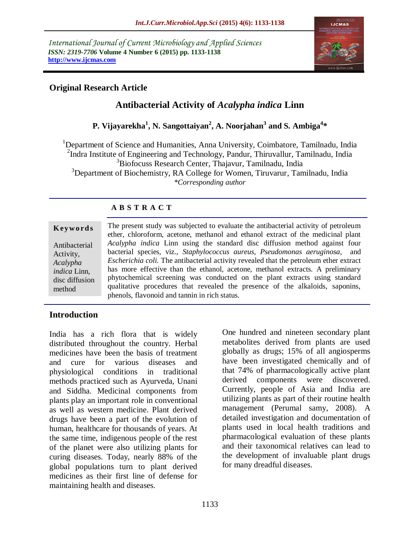*International Journal of Current Microbiology and Applied Sciences ISSN: 2319-7706* **Volume 4 Number 6 (2015) pp. 1133-1138 http://www.ijcmas.com** 



# **Original Research Article**

# **Antibacterial Activity of** *Acalypha indica* **Linn**

# **P. Vijayarekha<sup>1</sup> , N. Sangottaiyan<sup>2</sup> , A. Noorjahan<sup>3</sup> and S. Ambiga<sup>4</sup> \***

<sup>1</sup>Department of Science and Humanities, Anna University, Coimbatore, Tamilnadu, India <sup>2</sup>Indra Institute of Engineering and Technology, Pandur, Thiruvallur, Tamilnadu, India <sup>3</sup>Biofocuss Research Center, Thajavur, Tamilnadu, India <sup>3</sup>Department of Biochemistry, RA College for Women, Tiruvarur, Tamilnadu, India *\*Corresponding author*

# **A B S T R A C T**

#### **K ey w o rd s**

Antibacterial Activity, *Acalypha indica* Linn, disc diffusion method

The present study was subjected to evaluate the antibacterial activity of petroleum ether, chloroform, acetone, methanol and ethanol extract of the medicinal plant *Acalypha indica* Linn using the standard disc diffusion method against four bacterial species, viz., *Staphylococcus aureus, Pseudomonas aeruginosa*, and *Escherichia coli.* The antibacterial activity revealed that the petroleum ether extract has more effective than the ethanol, acetone, methanol extracts. A preliminary phytochemical screening was conducted on the plant extracts using standard qualitative procedures that revealed the presence of the alkaloids, saponins, phenols, flavonoid and tannin in rich status.

# **Introduction**

India has a rich flora that is widely distributed throughout the country. Herbal medicines have been the basis of treatment and cure for various diseases and physiological conditions in traditional methods practiced such as Ayurveda, Unani and Siddha. Medicinal components from plants play an important role in conventional as well as western medicine. Plant derived drugs have been a part of the evolution of human, healthcare for thousands of years. At the same time, indigenous people of the rest of the planet were also utilizing plants for curing diseases. Today, nearly 88% of the global populations turn to plant derived medicines as their first line of defense for maintaining health and diseases.

One hundred and nineteen secondary plant metabolites derived from plants are used globally as drugs; 15% of all angiosperms have been investigated chemically and of that 74% of pharmacologically active plant derived components were discovered. Currently, people of Asia and India are utilizing plants as part of their routine health management (Perumal samy, 2008). A detailed investigation and documentation of plants used in local health traditions and pharmacological evaluation of these plants and their taxonomical relatives can lead to the development of invaluable plant drugs for many dreadful diseases.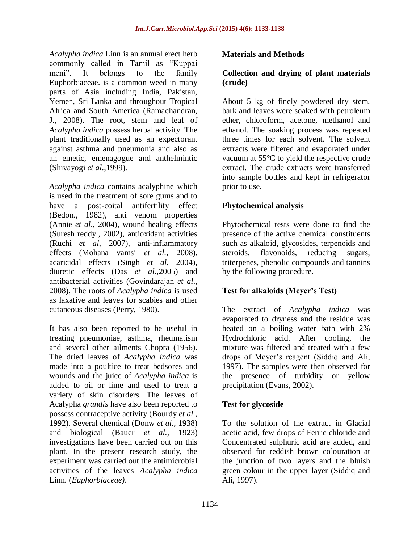*Acalypha indica* Linn is an annual erect herb commonly called in Tamil as "Kuppai meni". It belongs to the family Euphorbiaceae. is a common weed in many parts of Asia including India, Pakistan, Yemen, Sri Lanka and throughout Tropical Africa and South America (Ramachandran, J., 2008). The root, stem and leaf of *Acalypha indica* possess herbal activity. The plant traditionally used as an expectorant against asthma and pneumonia and also as an emetic, emenagogue and anthelmintic (Shivayogi *et al*.,1999).

*Acalypha indica* contains acalyphine which is used in the treatment of sore gums and to have a post-coital antifertility effect (Bedon., 1982), anti venom properties (Annie *et al*., 2004), wound healing effects (Suresh reddy., 2002), antioxidant activities (Ruchi *et al*, 2007), anti-inflammatory effects (Mohana vamsi *et al.*, 2008), acaricidal effects (Singh *et al*, 2004), diuretic effects (Das *et al*.,2005) and antibacterial activities (Govindarajan *et al*., 2008), The roots of *Acalypha indica* is used as laxative and leaves for scabies and other cutaneous diseases (Perry, 1980).

It has also been reported to be useful in treating pneumoniae, asthma, rheumatism and several other ailments Chopra (1956). The dried leaves of *Acalypha indica* was made into a poultice to treat bedsores and wounds and the juice of *Acalypha indica* is added to oil or lime and used to treat a variety of skin disorders. The leaves of Acalypha *grandis* have also been reported to possess contraceptive activity (Bourdy *et al.,*  1992). Several chemical (Donw *et al.,* 1938) and biological (Bauer *et al.,* 1923) investigations have been carried out on this plant. In the present research study, the experiment was carried out the antimicrobial activities of the leaves *Acalypha indica*  Linn. (*Euphorbiaceae)*.

#### **Materials and Methods**

#### **Collection and drying of plant materials (crude)**

About 5 kg of finely powdered dry stem, bark and leaves were soaked with petroleum ether, chloroform, acetone, methanol and ethanol. The soaking process was repeated three times for each solvent. The solvent extracts were filtered and evaporated under vacuum at 55°C to yield the respective crude extract. The crude extracts were transferred into sample bottles and kept in refrigerator prior to use.

# **Phytochemical analysis**

Phytochemical tests were done to find the presence of the active chemical constituents such as alkaloid, glycosides, terpenoids and steroids, flavonoids, reducing sugars, triterpenes, phenolic compounds and tannins by the following procedure.

# **Test for alkaloids (Meyer's Test)**

The extract of *Acalypha indica* was evaporated to dryness and the residue was heated on a boiling water bath with 2% Hydrochloric acid. After cooling, the mixture was filtered and treated with a few drops of Meyer's reagent (Siddiq and Ali, 1997). The samples were then observed for the presence of turbidity or yellow precipitation (Evans, 2002).

#### **Test for glycoside**

To the solution of the extract in Glacial acetic acid, few drops of Ferric chloride and Concentrated sulphuric acid are added, and observed for reddish brown colouration at the junction of two layers and the bluish green colour in the upper layer (Siddiq and Ali, 1997).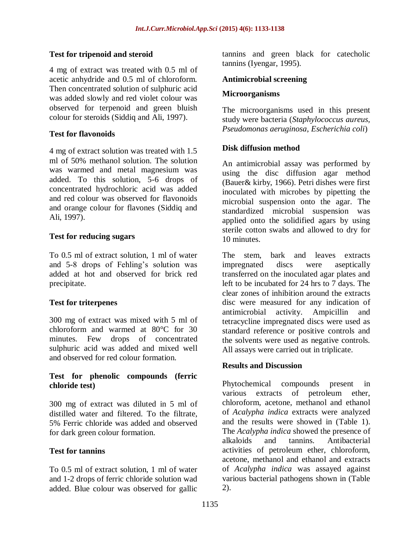# **Test for tripenoid and steroid**

4 mg of extract was treated with 0.5 ml of acetic anhydride and 0.5 ml of chloroform. Then concentrated solution of sulphuric acid was added slowly and red violet colour was observed for terpenoid and green bluish colour for steroids (Siddiq and Ali, 1997).

#### **Test for flavonoids**

4 mg of extract solution was treated with 1.5 ml of 50% methanol solution. The solution was warmed and metal magnesium was added. To this solution, 5-6 drops of concentrated hydrochloric acid was added and red colour was observed for flavonoids and orange colour for flavones (Siddiq and Ali, 1997).

# **Test for reducing sugars**

To 0.5 ml of extract solution, 1 ml of water and 5-8 drops of Fehling's solution was added at hot and observed for brick red precipitate.

# **Test for triterpenes**

300 mg of extract was mixed with 5 ml of chloroform and warmed at 80°C for 30 minutes. Few drops of concentrated sulphuric acid was added and mixed well and observed for red colour formation.

#### **Test for phenolic compounds (ferric chloride test)**

300 mg of extract was diluted in 5 ml of distilled water and filtered. To the filtrate, 5% Ferric chloride was added and observed for dark green colour formation.

# **Test for tannins**

To 0.5 ml of extract solution, 1 ml of water and 1-2 drops of ferric chloride solution wad added. Blue colour was observed for gallic tannins and green black for catecholic tannins (Iyengar, 1995).

#### **Antimicrobial screening**

#### **Microorganisms**

The microorganisms used in this present study were bacteria (*Staphylococcus aureus, Pseudomonas aeruginosa*, *Escherichia coli*)

# **Disk diffusion method**

An antimicrobial assay was performed by using the disc diffusion agar method (Bauer& kirby, 1966). Petri dishes were first inoculated with microbes by pipetting the microbial suspension onto the agar. The standardized microbial suspension was applied onto the solidified agars by using sterile cotton swabs and allowed to dry for 10 minutes.

The stem, bark and leaves extracts impregnated discs were aseptically transferred on the inoculated agar plates and left to be incubated for 24 hrs to 7 days. The clear zones of inhibition around the extracts disc were measured for any indication of antimicrobial activity. Ampicillin and tetracycline impregnated discs were used as standard reference or positive controls and the solvents were used as negative controls. All assays were carried out in triplicate.

#### **Results and Discussion**

Phytochemical compounds present in various extracts of petroleum ether, chloroform, acetone, methanol and ethanol of *Acalypha indica* extracts were analyzed and the results were showed in (Table 1). The *Acalypha indica* showed the presence of alkaloids and tannins. Antibacterial activities of petroleum ether, chloroform, acetone, methanol and ethanol and extracts of *Acalypha indica* was assayed against various bacterial pathogens shown in (Table 2).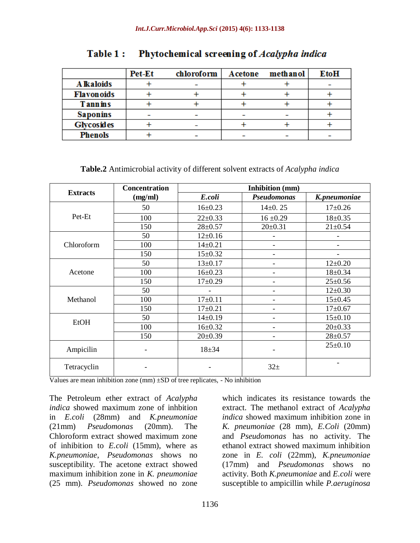|                   | <b>Pet-Et</b> | chloroform | Acetone | methanol | <b>EtoH</b> |
|-------------------|---------------|------------|---------|----------|-------------|
| A Ikaloids        |               |            |         |          |             |
| <b>Flavonoids</b> |               |            |         |          |             |
| <b>Tannins</b>    |               |            |         |          |             |
| <b>Saponins</b>   |               |            |         |          |             |
| <b>Glycosides</b> |               |            |         |          |             |
| <b>Phenols</b>    |               |            |         |          |             |

#### Phytochemical screening of Acalypha indica Table 1:

# **Table.2** Antimicrobial activity of different solvent extracts of *Acalypha indica*

|                 | <b>Concentration</b>     | <b>Inhibition</b> (mm)   |                              |                          |  |
|-----------------|--------------------------|--------------------------|------------------------------|--------------------------|--|
| <b>Extracts</b> | (mg/ml)                  | E.coli                   | Pseudomonas                  | K.pneumoniae             |  |
|                 | 50                       | $16 \pm 0.23$            | $14\pm0.25$                  | $17+0.26$                |  |
| Pet-Et          | 100                      | $22 \pm 0.33$            | $16 \pm 0.29$                | $18 + 0.35$              |  |
|                 | 150                      | $28 \pm 0.57$            | $20 \pm 0.31$                | $21 \pm 0.54$            |  |
|                 | 50                       | $12+0.16$                |                              |                          |  |
| Chloroform      | 100                      | $14 \pm 0.21$            | -                            |                          |  |
|                 | 150                      | $15 \pm 0.32$            |                              | $\overline{\phantom{0}}$ |  |
| Acetone         | 50                       | $13 \pm 0.17$            |                              | $12\pm0.20$              |  |
|                 | 100                      | $16 + 0.23$              |                              | $18 + 0.34$              |  |
|                 | 150                      | $17+0.29$                |                              | $25 \pm 0.56$            |  |
| Methanol        | 50                       | $\overline{\phantom{0}}$ | $\qquad \qquad \blacksquare$ | $12 \pm 0.30$            |  |
|                 | 100                      | $17+0.11$                |                              | $15 \pm 0.45$            |  |
|                 | 150                      | $17+0.21$                |                              | $17+0.67$                |  |
| <b>EtOH</b>     | 50                       | $14\pm0.19$              |                              | $15 \pm 0.10$            |  |
|                 | 100                      | $16 + 0.32$              | -                            | $20 \pm 0.33$            |  |
|                 | 150                      | $20 \pm 0.39$            |                              | $28 + 0.57$              |  |
| Ampicilin       | $\overline{\phantom{0}}$ | $18 + 34$                |                              | $25 \pm 0.10$            |  |
| Tetracyclin     |                          |                          | $32+$                        |                          |  |

Values are mean inhibition zone  $(nm) \pm SD$  of tree replicates, - No inhibition

The Petroleum ether extract of *Acalypha indica* showed maximum zone of inhbition in *E.coli* (28mm) and *K.pneumoniae* (21mm) *Pseudomonas* (20mm). The Chloroform extract showed maximum zone of inhibition to *E.coli* (15mm), where as *K.pneumoniae*, *Pseudomonas* shows no susceptibility. The acetone extract showed maximum inhibition zone in *K. pneumoniae*  (25 mm). *Pseudomonas* showed no zone which indicates its resistance towards the extract. The methanol extract of *Acalypha indica* showed maximum inhibition zone in *K. pneumoniae* (28 mm), *E.Coli* (20mm) and *Pseudomonas* has no activity. The ethanol extract showed maximum inhibition zone in *E. coli* (22mm), *K.pneumoniae*  (17mm) and *Pseudomonas* shows no activity. Both *K.pneumoniae* and *E.coli* were susceptible to ampicillin while *P.aeruginosa*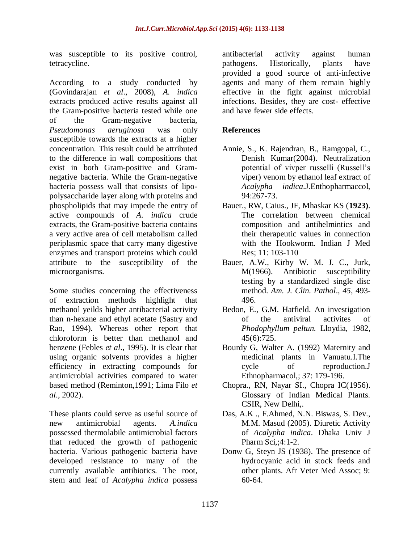was susceptible to its positive control, tetracycline.

According to a study conducted by (Govindarajan *et al*., 2008), *A. indica*  extracts produced active results against all the Gram-positive bacteria tested while one of the Gram-negative bacteria, *Pseudomonas aeruginosa* was only susceptible towards the extracts at a higher concentration. This result could be attributed to the difference in wall compositions that exist in both Gram-positive and Gramnegative bacteria. While the Gram-negative bacteria possess wall that consists of lipopolysaccharide layer along with proteins and phospholipids that may impede the entry of active compounds of *A. indica* crude extracts, the Gram-positive bacteria contains a very active area of cell metabolism called periplasmic space that carry many digestive enzymes and transport proteins which could attribute to the susceptibility of the microorganisms.

Some studies concerning the effectiveness of extraction methods highlight that methanol yeilds higher antibacterial activity than n-hexane and ethyl acetate (Sastry and Rao, 1994). Whereas other report that chloroform is better than methanol and benzene (Febles *et al*., 1995). It is clear that using organic solvents provides a higher efficiency in extracting compounds for antimicrobial activities compared to water based method (Reminton,1991; Lima Filo *et al*., 2002).

These plants could serve as useful source of new antimicrobial agents. *A.indica*  possessed thermolabile antimicrobial factors that reduced the growth of pathogenic bacteria. Various pathogenic bacteria have developed resistance to many of the currently available antibiotics. The root, stem and leaf of *Acalypha indica* possess

antibacterial activity against human pathogens. Historically, plants have provided a good source of anti-infective agents and many of them remain highly effective in the fight against microbial infections. Besides, they are cost- effective and have fewer side effects.

# **References**

- Annie, S., K. Rajendran, B., Ramgopal, C., Denish Kumar(2004). Neutralization potential of vivper russelli (Russell's viper) venom by ethanol leaf extract of *Acalypha indica*.J.Enthopharmaccol, 94:267-73.
- Bauer., RW, Caius., JF, Mhaskar KS (**1923)**. The correlation between chemical composition and antihelmintics and their therapeutic values in connection with the Hookworm. Indian J Med Res; 11: 103-110
- Bauer, A.W., Kirby W. M. J. C., Jurk, M(1966). Antibiotic susceptibility testing by a standardized single disc method. *Am. J. Clin. Pathol*., *45*, 493- 496.
- Bedon, E., G.M. Hatfield. An investigation of the antiviral activites of *Phodophyllum peltun.* Lloydia, 1982, 45(6):725.
- Bourdy G, Walter A. (1992) Maternity and medicinal plants in Vanuatu.I.The cycle of reproduction.J Ethnopharmacol,; 37: 179-196.
- Chopra., RN, Nayar SI., Chopra IC(1956). Glossary of Indian Medical Plants. CSIR, New Delhi,.
- Das, A.K ., F.Ahmed, N.N. Biswas, S. Dev., M.M. Masud (2005). Diuretic Activity of *Acalypha indica*. Dhaka Univ J Pharm Sci,;4:1-2.
- Donw G, Steyn JS (1938). The presence of hydrocyanic acid in stock feeds and other plants. Afr Veter Med Assoc; 9: 60-64.